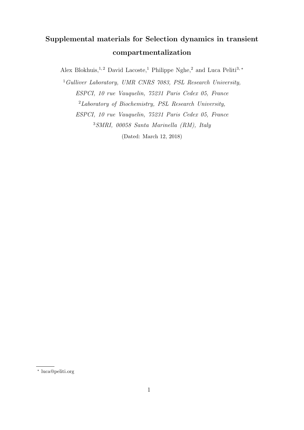# Supplemental materials for Selection dynamics in transient compartmentalization

Alex Blokhuis,<sup>1,2</sup> David Lacoste,<sup>1</sup> Philippe Nghe,<sup>2</sup> and Luca Peliti<sup>3,\*</sup>

 $1$ Gulliver Laboratory, UMR CNRS 7083, PSL Research University, ESPCI, 10 rue Vauquelin, 75231 Paris Cedex 05, France <sup>2</sup>Laboratory of Biochemistry, PSL Research University, ESPCI, 10 rue Vauquelin, 75231 Paris Cedex 05, France <sup>3</sup>SMRI, 00058 Santa Marinella (RM), Italy (Dated: March 12, 2018)

<sup>∗</sup> luca@peliti.org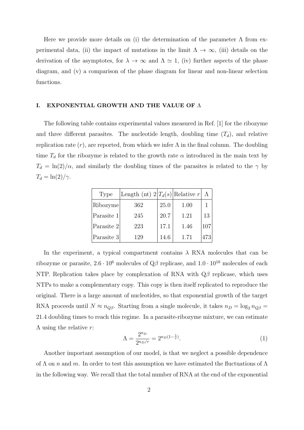Here we provide more details on (i) the determination of the parameter  $\Lambda$  from experimental data, (ii) the impact of mutations in the limit  $\Lambda \to \infty$ , (iii) details on the derivation of the asymptotes, for  $\lambda \to \infty$  and  $\Lambda \simeq 1$ , (iv) further aspects of the phase diagram, and (v) a comparison of the phase diagram for linear and non-linear selection functions.

### I. EXPONENTIAL GROWTH AND THE VALUE OF Λ

The following table contains experimental values measured in Ref. [1] for the ribozyme and three different parasites. The nucleotide length, doubling time  $(T_d)$ , and relative replication rate  $(r)$ , are reported, from which we infer  $\Lambda$  in the final column. The doubling time  $T_d$  for the ribozyme is related to the growth rate  $\alpha$  introduced in the main text by  $T_d = \ln(2)/\alpha$ , and similarly the doubling times of the parasites is related to the  $\gamma$  by  $T_d = \ln(2)/\gamma$ .

| Type       | Length (nt) $2 T_d(s) $ Relative r |      |      |     |
|------------|------------------------------------|------|------|-----|
| Ribozyme   | 362                                | 25.0 | 1.00 |     |
| Parasite 1 | 245                                | 20.7 | 1.21 | 13  |
| Parasite 2 | 223                                | 17.1 | 1.46 | 107 |
| Parasite 3 | 129                                | 14.6 | 1.71 | 473 |

In the experiment, a typical compartment contains  $\lambda$  RNA molecules that can be ribozyme or parasite,  $2.6 \cdot 10^6$  molecules of Q $\beta$  replicase, and  $1.0 \cdot 10^{10}$  molecules of each NTP. Replication takes place by complexation of RNA with  $Q\beta$  replicase, which uses NTPs to make a complementary copy. This copy is then itself replicated to reproduce the original. There is a large amount of nucleotides, so that exponential growth of the target RNA proceeds until  $N \approx n_{Q\beta}$ . Starting from a single molecule, it takes  $n_D = \log_2 n_{Q\beta}$ 21.4 doubling times to reach this regime. In a parasite-ribozyme mixture, we can estimate  $\Lambda$  using the relative r:

$$
\Lambda = \frac{2^{n} \rho}{2^{n} \rho/r} = 2^{n} \rho^{(1 - \frac{1}{r})}.
$$
\n(1)

Another important assumption of our model, is that we neglect a possible dependence of  $\Lambda$  on n and m. In order to test this assumption we have estimated the fluctuations of  $\Lambda$ in the following way. We recall that the total number of RNA at the end of the exponential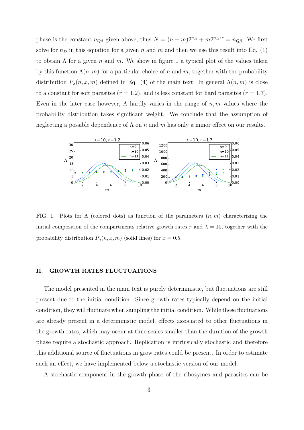phase is the constant  $n_{Q\beta}$  given above, thus  $N = (n - m)2^{n_D} + m2^{n_D/r} = n_{Q\beta}$ . We first solve for  $n<sub>D</sub>$  in this equation for a given n and m and then we use this result into Eq. (1) to obtain  $\Lambda$  for a given n and m. We show in figure 1 a typical plot of the values taken by this function  $\Lambda(n,m)$  for a particular choice of n and m, together with the probability distribution  $P_{\lambda}(n, x, m)$  defined in Eq. (4) of the main text. In general  $\Lambda(n, m)$  is close to a constant for soft parasites  $(r = 1.2)$ , and is less constant for hard parasites  $(r = 1.7)$ . Even in the later case however,  $\Lambda$  hardly varies in the range of  $n, m$  values where the probability distribution takes significant weight. We conclude that the assumption of neglecting a possible dependence of  $\Lambda$  on n and m has only a minor effect on our results.



FIG. 1. Plots for  $\Lambda$  (colored dots) as function of the parameters  $(n, m)$  characterizing the initial composition of the compartments relative growth rates r and  $\lambda = 10$ , together with the probability distribution  $P_{\lambda}(n, x, m)$  (solid lines) for  $x = 0.5$ .

#### II. GROWTH RATES FLUCTUATIONS

The model presented in the main text is purely deterministic, but fluctuations are still present due to the initial condition. Since growth rates typically depend on the initial condition, they will fluctuate when sampling the initial condition. While these fluctuations are already present in a deterministic model, effects associated to other fluctuations in the growth rates, which may occur at time scales smaller than the duration of the growth phase require a stochastic approach. Replication is intrinsically stochastic and therefore this additional source of fluctuations in grow rates could be present. In order to estimate such an effect, we have implemented below a stochastic version of our model.

A stochastic component in the growth phase of the ribozymes and parasites can be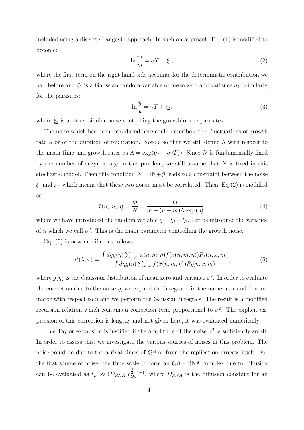included using a discrete Langevin approach. In such an approach, Eq. (1) is modified to become:

$$
\ln \frac{\bar{m}}{m} = \alpha T + \xi_1,\tag{2}
$$

where the first term on the right hand side accounts for the deterministic contribution we had before and  $\xi_1$  is a Gaussian random variable of mean zero and variance  $\sigma_1$ . Similarly for the parasites:

$$
\ln \frac{\bar{y}}{y} = \gamma T + \xi_2,\tag{3}
$$

where  $\xi_2$  is another similar noise controlling the growth of the parasites.

The noise which has been introduced here could describe either fluctuations of growth rate  $\alpha$  or of the duration of replication. Note also that we still define  $\Lambda$  with respect to the mean time and growth rates as  $\Lambda = \exp((\gamma - \alpha)T)$ . Since N is fundamentally fixed by the number of enzymes  $n_{Q\beta}$  in this problem, we still assume that N is fixed in this stochastic model. Then this condition  $N = \bar{m} + \bar{y}$  leads to a constraint between the noise  $\xi_1$  and  $\xi_2$ , which means that these two noises must be correlated. Then, Eq (2) is modified as

$$
\bar{x}(n, m, \eta) = \frac{\bar{m}}{N} = \frac{m}{m + (n - m)\Lambda \exp(\eta)},
$$
\n(4)

where we have introduced the random variable  $\eta = \xi_2 - \xi_1$ . Let us introduce the variance of  $\eta$  which we call  $\sigma^2$ . This is the main parameter controlling the growth noise.

Eq. (5) is now modified as follows

$$
x'(\lambda, x) = \frac{\int d\eta g(\eta) \sum_{n,m} \bar{x}(n, m, \eta) f(\bar{x}(n, m, \eta)) P_{\lambda}(n, x, m)}{\int d\eta g(\eta) \sum_{n,m} f(\bar{x}(n, m, \eta)) P_{\lambda}(n, x, m)},
$$
(5)

where  $g(\eta)$  is the Gaussian distribution of mean zero and variance  $\sigma^2$ . In order to evaluate the correction due to the noise  $\eta$ , we expand the integrand in the numerator and denominator with respect to  $\eta$  and we perform the Gaussian integrals. The result is a modified recursion relation which contains a correction term proportional to  $\sigma^2$ . The explicit expression of this correction is lengthy and not given here, it was evaluated numerically.

This Taylor expansion is justified if the amplitude of the noise  $\sigma^2$  is sufficiently small. In order to assess this, we investigate the various sources of noises in this problem. The noise could be due to the arrival times of  $Q\beta$  or from the replication process itself. For the first source of noise, the time scale to form an  $Q\beta$  - RNA complex due to diffusion can be evaluated as  $t_D \approx (D_{RNA} c_{Q\beta}^{\frac{2}{3}})^{-1}$ , where  $D_{RNA}$  is the diffusion constant for an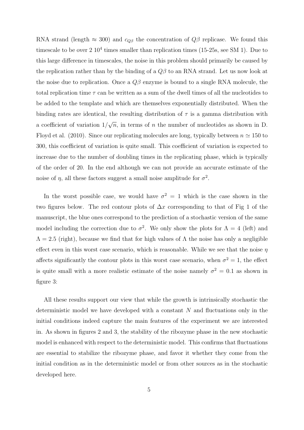RNA strand (length  $\approx$  300) and  $c_{Q\beta}$  the concentration of  $Q\beta$  replicase. We found this timescale to be over  $2 \times 10^4$  times smaller than replication times (15-25s, see SM 1). Due to this large difference in timescales, the noise in this problem should primarily be caused by the replication rather than by the binding of a  $Q\beta$  to an RNA strand. Let us now look at the noise due to replication. Once a  $Q\beta$  enzyme is bound to a single RNA molecule, the total replication time  $\tau$  can be written as a sum of the dwell times of all the nucleotides to be added to the template and which are themselves exponentially distributed. When the binding rates are identical, the resulting distribution of  $\tau$  is a gamma distribution with a coefficient of variation 1/ √  $\overline{n}$ , in terms of *n* the number of nucleotides as shown in D. Floyd et al. (2010). Since our replicating molecules are long, typically between  $n \approx 150$  to 300, this coefficient of variation is quite small. This coefficient of variation is expected to increase due to the number of doubling times in the replicating phase, which is typically of the order of 20. In the end although we can not provide an accurate estimate of the noise of  $\eta$ , all these factors suggest a small noise amplitude for  $\sigma^2$ .

In the worst possible case, we would have  $\sigma^2 = 1$  which is the case shown in the two figures below. The red contour plots of  $\Delta x$  corresponding to that of Fig 1 of the manuscript, the blue ones correspond to the prediction of a stochastic version of the same model including the correction due to  $\sigma^2$ . We only show the plots for  $\Lambda = 4$  (left) and  $\Lambda = 2.5$  (right), because we find that for high values of  $\Lambda$  the noise has only a negligible effect even in this worst case scenario, which is reasonable. While we see that the noise  $\eta$ affects significantly the contour plots in this worst case scenario, when  $\sigma^2 = 1$ , the effect is quite small with a more realistic estimate of the noise namely  $\sigma^2 = 0.1$  as shown in figure 3:

All these results support our view that while the growth is intrinsically stochastic the deterministic model we have developed with a constant  $N$  and fluctuations only in the initial conditions indeed capture the main features of the experiment we are interested in. As shown in figures 2 and 3, the stability of the ribozyme phase in the new stochastic model is enhanced with respect to the deterministic model. This confirms that fluctuations are essential to stabilize the ribozyme phase, and favor it whether they come from the initial condition as in the deterministic model or from other sources as in the stochastic developed here.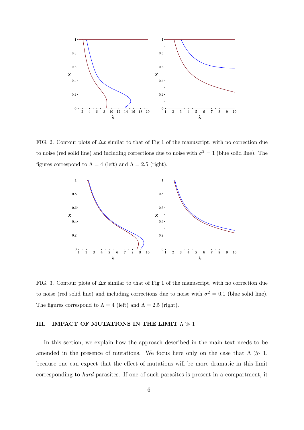

FIG. 2. Contour plots of  $\Delta x$  similar to that of Fig 1 of the manuscript, with no correction due to noise (red solid line) and including corrections due to noise with  $\sigma^2 = 1$  (blue solid line). The figures correspond to  $\Lambda = 4$  (left) and  $\Lambda = 2.5$  (right).



FIG. 3. Contour plots of  $\Delta x$  similar to that of Fig 1 of the manuscript, with no correction due to noise (red solid line) and including corrections due to noise with  $\sigma^2 = 0.1$  (blue solid line). The figures correspond to  $\Lambda = 4$  (left) and  $\Lambda = 2.5$  (right).

#### III. IMPACT OF MUTATIONS IN THE LIMIT  $\Lambda \gg 1$

In this section, we explain how the approach described in the main text needs to be amended in the presence of mutations. We focus here only on the case that  $\Lambda \gg 1$ , because one can expect that the effect of mutations will be more dramatic in this limit corresponding to hard parasites. If one of such parasites is present in a compartment, it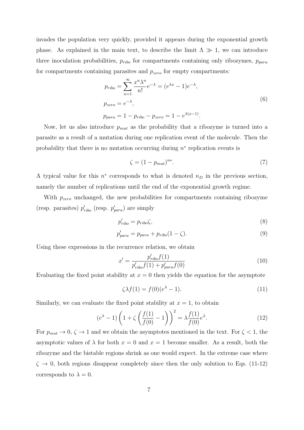invades the population very quickly, provided it appears during the exponential growth phase. As explained in the main text, to describe the limit  $\Lambda \gg 1$ , we can introduce three inoculation probabilities,  $p_{ribo}$  for compartments containing only ribozymes,  $p_{para}$ for compartments containing parasites and  $p_{zero}$  for empty compartments:

$$
p_{ribo} = \sum_{n=1}^{\infty} \frac{x^n \lambda^n}{n!} e^{-\lambda} = (e^{\lambda x} - 1)e^{-\lambda},
$$
  

$$
p_{zero} = e^{-\lambda},
$$
 (6)

$$
p_{para} = 1 - p_{ribo} - p_{zero} = 1 - e^{\lambda(x-1)}.
$$

Now, let us also introduce  $p_{mut}$  as the probability that a ribozyme is turned into a parasite as a result of a mutation during one replication event of the molecule. Then the probability that there is no mutation occurring during  $n^*$  replication events is

$$
\zeta = (1 - p_{mut})^{n*}.\tag{7}
$$

A typical value for this  $n^*$  corresponds to what is denoted  $n_D$  in the previous section, namely the number of replications until the end of the exponential growth regime.

With  $p_{zero}$  unchanged, the new probabilities for compartments containing ribozyme (resp. parasites)  $p'_{ribo}$  (resp.  $p'_{para}$ ) are simply

$$
p'_{ribo} = p_{ribo}\zeta,\tag{8}
$$

$$
p'_{para} = p_{para} + p_{ribo}(1 - \zeta). \tag{9}
$$

Using these expressions in the recurrence relation, we obtain

$$
x' = \frac{p'_{ribo}f(1)}{p'_{ribo}f(1) + p'_{para}f(0)}
$$
(10)

Evaluating the fixed point stability at  $x = 0$  then yields the equation for the asymptote

$$
\zeta \lambda f(1) = f(0)(e^{\lambda} - 1). \tag{11}
$$

Similarly, we can evaluate the fixed point stability at  $x = 1$ , to obtain

$$
(e\lambda - 1) \left( 1 + \zeta \left( \frac{f(1)}{f(0)} - 1 \right) \right)^2 = \lambda \frac{f(1)}{f(0)} e^{\lambda}.
$$
 (12)

For  $p_{mut} \rightarrow 0, \zeta \rightarrow 1$  and we obtain the asymptotes mentioned in the text. For  $\zeta < 1$ , the asymptotic values of  $\lambda$  for both  $x = 0$  and  $x = 1$  become smaller. As a result, both the ribozyme and the bistable regions shrink as one would expect. In the extreme case where  $\zeta \to 0$ , both regions disappear completely since then the only solution to Eqs. (11-12) corresponds to  $\lambda = 0$ .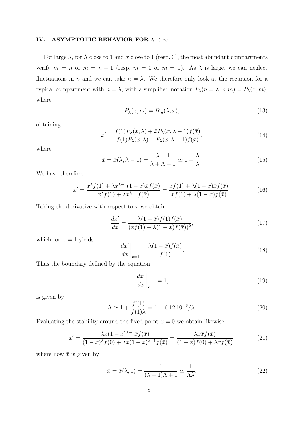## IV. ASYMPTOTIC BEHAVIOR FOR  $\lambda \to \infty$

For large  $\lambda$ , for  $\Lambda$  close to 1 and x close to 1 (resp. 0), the most abundant compartments verify  $m = n$  or  $m = n - 1$  (resp.  $m = 0$  or  $m = 1$ ). As  $\lambda$  is large, we can neglect fluctuations in n and we can take  $n = \lambda$ . We therefore only look at the recursion for a typical compartment with  $n = \lambda$ , with a simplified notation  $P_{\lambda}(n = \lambda, x, m) = P_{\lambda}(x, m)$ , where

$$
P_{\lambda}(x,m) = B_{m}(\lambda, x), \qquad (13)
$$

obtaining

$$
x' = \frac{f(1)P_{\lambda}(x,\lambda) + \bar{x}P_{\lambda}(x,\lambda - 1)f(\bar{x})}{f(1)P_{\lambda}(x,\lambda) + P_{\lambda}(x,\lambda - 1)f(\bar{x})},\tag{14}
$$

where

$$
\bar{x} = \bar{x}(\lambda, \lambda - 1) = \frac{\lambda - 1}{\lambda + \Lambda - 1} \simeq 1 - \frac{\Lambda}{\lambda}.\tag{15}
$$

We have therefore

$$
x' = \frac{x^{\lambda} f(1) + \lambda x^{\lambda - 1} (1 - x) \bar{x} f(\bar{x})}{x^{\lambda} f(1) + \lambda x^{\lambda - 1} f(\bar{x})} = \frac{x f(1) + \lambda (1 - x) \bar{x} f(\bar{x})}{x f(1) + \lambda (1 - x) f(\bar{x})}.
$$
(16)

Taking the derivative with respect to  $x$  we obtain

$$
\frac{dx'}{dx} = \frac{\lambda(1-\bar{x})f(1)f(\bar{x})}{(xf(1)+\lambda(1-x)f(\bar{x}))^2},
$$
\n(17)

which for  $x = 1$  yields

$$
\left. \frac{dx'}{dx} \right|_{x=1} = \frac{\lambda (1-\bar{x}) f(\bar{x})}{f(1)}.
$$
\n(18)

Thus the boundary defined by the equation

$$
\left. \frac{dx'}{dx} \right|_{x=1} = 1,\tag{19}
$$

is given by

$$
\Lambda \simeq 1 + \frac{f'(1)}{f(1)\lambda} = 1 + 6.1210^{-6} / \lambda.
$$
 (20)

Evaluating the stability around the fixed point  $x = 0$  we obtain likewise

$$
x' = \frac{\lambda x (1-x)^{\lambda-1} \bar{x} f(\bar{x})}{(1-x)^{\lambda} f(0) + \lambda x (1-x)^{\lambda-1} f(\bar{x})} = \frac{\lambda x \bar{x} f(\bar{x})}{(1-x) f(0) + \lambda x f(\bar{x})},\tag{21}
$$

where now  $\bar{x}$  is given by

$$
\bar{x} = \bar{x}(\lambda, 1) = \frac{1}{(\lambda - 1)\Lambda + 1} \simeq \frac{1}{\Lambda\lambda}.\tag{22}
$$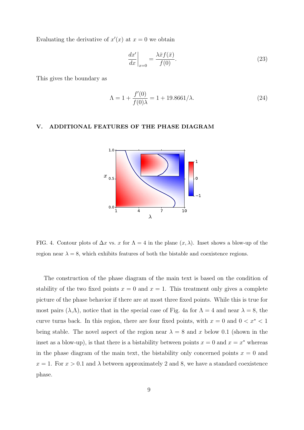Evaluating the derivative of  $x'(x)$  at  $x = 0$  we obtain

$$
\left. \frac{dx'}{dx} \right|_{x=0} = \frac{\lambda \bar{x} f(\bar{x})}{f(0)}.
$$
\n(23)

This gives the boundary as

$$
\Lambda = 1 + \frac{f'(0)}{f(0)\lambda} = 1 + 19.8661/\lambda.
$$
 (24)

#### V. ADDITIONAL FEATURES OF THE PHASE DIAGRAM



FIG. 4. Contour plots of  $\Delta x$  vs. x for  $\Lambda = 4$  in the plane  $(x, \lambda)$ . Inset shows a blow-up of the region near  $\lambda = 8$ , which exhibits features of both the bistable and coexistence regions.

The construction of the phase diagram of the main text is based on the condition of stability of the two fixed points  $x = 0$  and  $x = 1$ . This treatment only gives a complete picture of the phase behavior if there are at most three fixed points. While this is true for most pairs  $(\lambda, \Lambda)$ , notice that in the special case of Fig. 4a for  $\Lambda = 4$  and near  $\lambda = 8$ , the curve turns back. In this region, there are four fixed points, with  $x = 0$  and  $0 < x^* < 1$ being stable. The novel aspect of the region near  $\lambda = 8$  and x below 0.1 (shown in the inset as a blow-up), is that there is a bistability between points  $x = 0$  and  $x = x^*$  whereas in the phase diagram of the main text, the bistability only concerned points  $x = 0$  and  $x = 1$ . For  $x > 0.1$  and  $\lambda$  between approximately 2 and 8, we have a standard coexistence phase.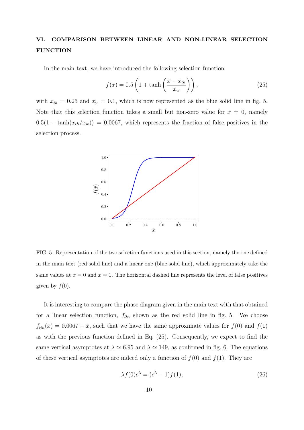# VI. COMPARISON BETWEEN LINEAR AND NON-LINEAR SELECTION FUNCTION

In the main text, we have introduced the following selection function

$$
f(\bar{x}) = 0.5 \left( 1 + \tanh\left(\frac{\bar{x} - x_{th}}{x_w}\right) \right),\tag{25}
$$

with  $x_{th} = 0.25$  and  $x_w = 0.1$ , which is now represented as the blue solid line in fig. 5. Note that this selection function takes a small but non-zero value for  $x = 0$ , namely  $0.5(1 - \tanh(x_{th}/x_w)) = 0.0067$ , which represents the fraction of false positives in the selection process.



FIG. 5. Representation of the two selection functions used in this section, namely the one defined in the main text (red solid line) and a linear one (blue solid line), which approximately take the same values at  $x = 0$  and  $x = 1$ . The horizontal dashed line represents the level of false positives given by  $f(0)$ .

It is interesting to compare the phase diagram given in the main text with that obtained for a linear selection function,  $f_{lin}$  shown as the red solid line in fig. 5. We choose  $f_{lin}(\bar{x}) = 0.0067 + \bar{x}$ , such that we have the same approximate values for  $f(0)$  and  $f(1)$ as with the previous function defined in Eq. (25). Consequently, we expect to find the same vertical asymptotes at  $\lambda \simeq 6.95$  and  $\lambda \simeq 149$ , as confirmed in fig. 6. The equations of these vertical asymptotes are indeed only a function of  $f(0)$  and  $f(1)$ . They are

$$
\lambda f(0)e^{\lambda} = (e^{\lambda} - 1)f(1),\tag{26}
$$